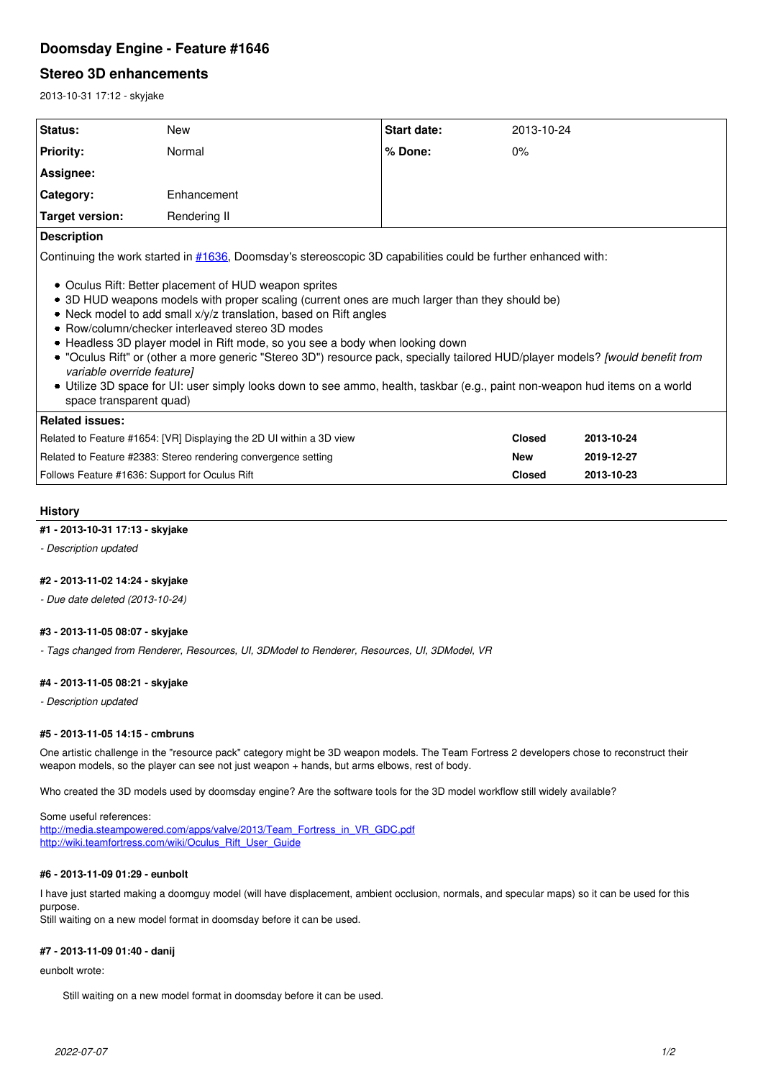# **Doomsday Engine - Feature #1646**

# **Stereo 3D enhancements**

2013-10-31 17:12 - skyjake

| <b>Status:</b>                                                                                                                                                                                                                                                                                                                                                                                                                                                                                                                                                                                                                                                                               | New          | Start date: | 2013-10-24 |  |  |
|----------------------------------------------------------------------------------------------------------------------------------------------------------------------------------------------------------------------------------------------------------------------------------------------------------------------------------------------------------------------------------------------------------------------------------------------------------------------------------------------------------------------------------------------------------------------------------------------------------------------------------------------------------------------------------------------|--------------|-------------|------------|--|--|
| <b>Priority:</b>                                                                                                                                                                                                                                                                                                                                                                                                                                                                                                                                                                                                                                                                             | Normal       | % Done:     | $0\%$      |  |  |
| Assignee:                                                                                                                                                                                                                                                                                                                                                                                                                                                                                                                                                                                                                                                                                    |              |             |            |  |  |
| Category:                                                                                                                                                                                                                                                                                                                                                                                                                                                                                                                                                                                                                                                                                    | Enhancement  |             |            |  |  |
| Target version:                                                                                                                                                                                                                                                                                                                                                                                                                                                                                                                                                                                                                                                                              | Rendering II |             |            |  |  |
| <b>Description</b>                                                                                                                                                                                                                                                                                                                                                                                                                                                                                                                                                                                                                                                                           |              |             |            |  |  |
| Continuing the work started in #1636, Doomsday's stereoscopic 3D capabilities could be further enhanced with:                                                                                                                                                                                                                                                                                                                                                                                                                                                                                                                                                                                |              |             |            |  |  |
| • Oculus Rift: Better placement of HUD weapon sprites<br>• 3D HUD weapons models with proper scaling (current ones are much larger than they should be)<br>• Neck model to add small $x/y/z$ translation, based on Rift angles<br>• Row/column/checker interleaved stereo 3D modes<br>• Headless 3D player model in Rift mode, so you see a body when looking down<br>• "Oculus Rift" or (other a more generic "Stereo 3D") resource pack, specially tailored HUD/player models? [would benefit from<br>variable override featurel<br>• Utilize 3D space for UI: user simply looks down to see ammo, health, taskbar (e.g., paint non-weapon hud items on a world<br>space transparent quad) |              |             |            |  |  |

| <b>Related issues:</b>                                               |        |            |
|----------------------------------------------------------------------|--------|------------|
| Related to Feature #1654: [VR] Displaying the 2D UI within a 3D view | Closed | 2013-10-24 |
| Related to Feature #2383: Stereo rendering convergence setting       | New    | 2019-12-27 |
| Follows Feature #1636: Support for Oculus Rift                       | Closed | 2013-10-23 |

# **History**

### **#1 - 2013-10-31 17:13 - skyjake**

*- Description updated*

# **#2 - 2013-11-02 14:24 - skyjake**

*- Due date deleted (2013-10-24)*

#### **#3 - 2013-11-05 08:07 - skyjake**

*- Tags changed from Renderer, Resources, UI, 3DModel to Renderer, Resources, UI, 3DModel, VR*

#### **#4 - 2013-11-05 08:21 - skyjake**

*- Description updated*

#### **#5 - 2013-11-05 14:15 - cmbruns**

One artistic challenge in the "resource pack" category might be 3D weapon models. The Team Fortress 2 developers chose to reconstruct their weapon models, so the player can see not just weapon + hands, but arms elbows, rest of body.

Who created the 3D models used by doomsday engine? Are the software tools for the 3D model workflow still widely available?

Some useful references: [http://media.steampowered.com/apps/valve/2013/Team\\_Fortress\\_in\\_VR\\_GDC.pdf](http://media.steampowered.com/apps/valve/2013/Team_Fortress_in_VR_GDC.pdf) [http://wiki.teamfortress.com/wiki/Oculus\\_Rift\\_User\\_Guide](http://wiki.teamfortress.com/wiki/Oculus_Rift_User_Guide)

### **#6 - 2013-11-09 01:29 - eunbolt**

I have just started making a doomguy model (will have displacement, ambient occlusion, normals, and specular maps) so it can be used for this purpose.

Still waiting on a new model format in doomsday before it can be used.

# **#7 - 2013-11-09 01:40 - danij**

eunbolt wrote:

Still waiting on a new model format in doomsday before it can be used.